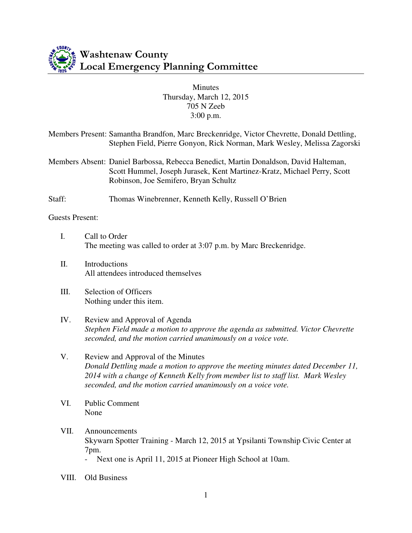

## Minutes Thursday, March 12, 2015 705 N Zeeb 3:00 p.m.

|                        | Members Present: Samantha Brandfon, Marc Breckenridge, Victor Chevrette, Donald Dettling,<br>Stephen Field, Pierre Gonyon, Rick Norman, Mark Wesley, Melissa Zagorski                                    |
|------------------------|----------------------------------------------------------------------------------------------------------------------------------------------------------------------------------------------------------|
|                        | Members Absent: Daniel Barbossa, Rebecca Benedict, Martin Donaldson, David Halteman,<br>Scott Hummel, Joseph Jurasek, Kent Martinez-Kratz, Michael Perry, Scott<br>Robinson, Joe Semifero, Bryan Schultz |
| Staff:                 | Thomas Winebrenner, Kenneth Kelly, Russell O'Brien                                                                                                                                                       |
| <b>Guests Present:</b> |                                                                                                                                                                                                          |
| I.                     | Call to Order<br>The meeting was called to order at 3:07 p.m. by Marc Breckenridge.                                                                                                                      |
| П.                     | Introductions<br>All attendees introduced themselves                                                                                                                                                     |
| Ш.                     | Selection of Officers<br>Nothing under this item.                                                                                                                                                        |
| IV.                    | Review and Approval of Agenda<br>Stephen Field made a motion to approve the agenda as submitted. Victor Chevrette<br>seconded, and the motion carried unanimously on a voice vote.                       |

V. Review and Approval of the Minutes *Donald Dettling made a motion to approve the meeting minutes dated December 11, 2014 with a change of Kenneth Kelly from member list to staff list. Mark Wesley seconded, and the motion carried unanimously on a voice vote.* 

- VI. Public Comment None
- VII. Announcements Skywarn Spotter Training - March 12, 2015 at Ypsilanti Township Civic Center at 7pm.
	- Next one is April 11, 2015 at Pioneer High School at 10am.
- VIII. Old Business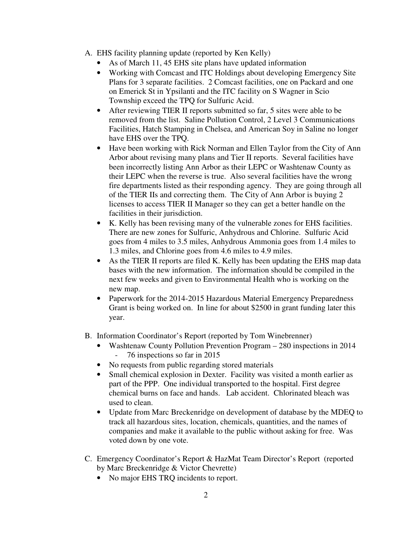- A. EHS facility planning update (reported by Ken Kelly)
	- As of March 11, 45 EHS site plans have updated information
	- Working with Comcast and ITC Holdings about developing Emergency Site Plans for 3 separate facilities. 2 Comcast facilities, one on Packard and one on Emerick St in Ypsilanti and the ITC facility on S Wagner in Scio Township exceed the TPQ for Sulfuric Acid.
	- After reviewing TIER II reports submitted so far, 5 sites were able to be removed from the list. Saline Pollution Control, 2 Level 3 Communications Facilities, Hatch Stamping in Chelsea, and American Soy in Saline no longer have EHS over the TPQ.
	- Have been working with Rick Norman and Ellen Taylor from the City of Ann Arbor about revising many plans and Tier II reports. Several facilities have been incorrectly listing Ann Arbor as their LEPC or Washtenaw County as their LEPC when the reverse is true. Also several facilities have the wrong fire departments listed as their responding agency. They are going through all of the TIER IIs and correcting them. The City of Ann Arbor is buying 2 licenses to access TIER II Manager so they can get a better handle on the facilities in their jurisdiction.
	- K. Kelly has been revising many of the vulnerable zones for EHS facilities. There are new zones for Sulfuric, Anhydrous and Chlorine. Sulfuric Acid goes from 4 miles to 3.5 miles, Anhydrous Ammonia goes from 1.4 miles to 1.3 miles, and Chlorine goes from 4.6 miles to 4.9 miles.
	- As the TIER II reports are filed K. Kelly has been updating the EHS map data bases with the new information. The information should be compiled in the next few weeks and given to Environmental Health who is working on the new map.
	- Paperwork for the 2014-2015 Hazardous Material Emergency Preparedness Grant is being worked on. In line for about \$2500 in grant funding later this year.
- B. Information Coordinator's Report (reported by Tom Winebrenner)
	- Washtenaw County Pollution Prevention Program 280 inspections in 2014 - 76 inspections so far in 2015
	- No requests from public regarding stored materials
	- Small chemical explosion in Dexter. Facility was visited a month earlier as part of the PPP. One individual transported to the hospital. First degree chemical burns on face and hands. Lab accident. Chlorinated bleach was used to clean.
	- Update from Marc Breckenridge on development of database by the MDEQ to track all hazardous sites, location, chemicals, quantities, and the names of companies and make it available to the public without asking for free. Was voted down by one vote.
- C. Emergency Coordinator's Report & HazMat Team Director's Report (reported by Marc Breckenridge & Victor Chevrette)
	- No major EHS TRO incidents to report.